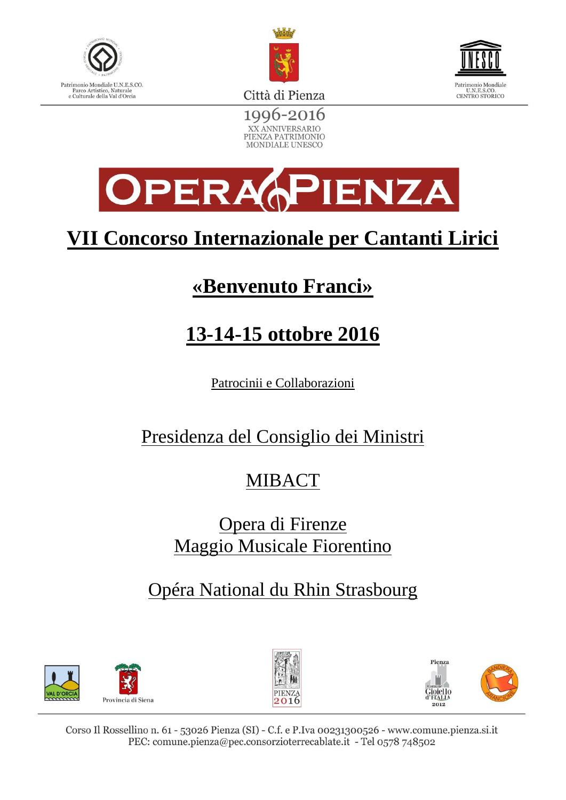





1996-2016 XX ANNIVERSARIO PIENZA PATRIMONIO MONDIALE UNESCO



# **VII Concorso Internazionale per Cantanti Lirici**

# **«Benvenuto Franci»**

# **13-14-15 ottobre 2016**

Patrocinii e Collaborazioni

## Presidenza del Consiglio dei Ministri

# MIBACT

### Opera di Firenze Maggio Musicale Fiorentino

### Opéra National du Rhin Strasbourg





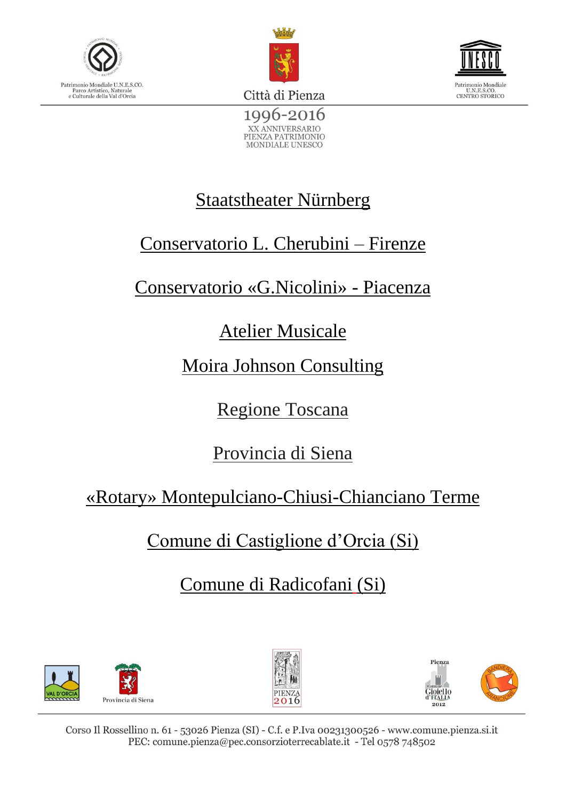





1996-2016 XX ANNIVERSARIO PIENZA PATRIMONIO<br>MONDIALE UNESCO

## Staatstheater Nürnberg

## Conservatorio L. Cherubini – Firenze

## Conservatorio «G.Nicolini» - Piacenza

### Atelier Musicale

Moira Johnson Consulting

Regione Toscana

Provincia di Siena

«Rotary» Montepulciano-Chiusi-Chianciano Terme

Comune di Castiglione d'Orcia (Si)

Comune di Radicofani (Si)





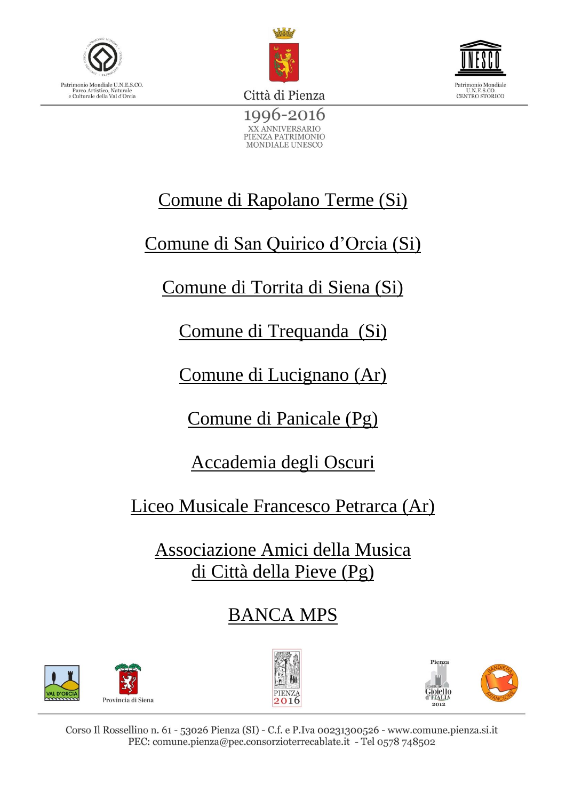





1996-2016 XX ANNIVERSARIO PIENZA PATRIMONIO MONDIALE UNESCO

# Comune di Rapolano Terme (Si)

Comune di San Quirico d'Orcia (Si)

# Comune di Torrita di Siena (Si)

Comune di Trequanda (Si)

Comune di Lucignano (Ar)

Comune di Panicale (Pg)

Accademia degli Oscuri

Liceo Musicale Francesco Petrarca (Ar)

Associazione Amici della Musica di Città della Pieve (Pg)

BANCA MPS





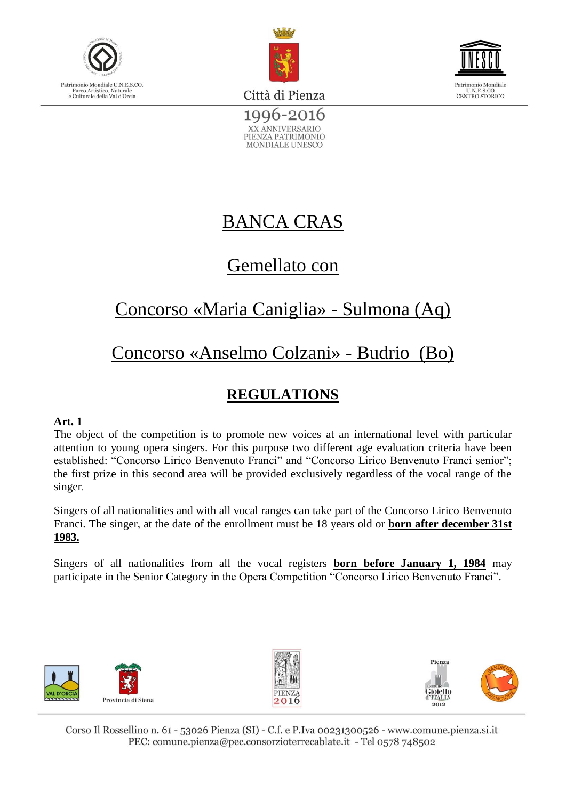





1996-2016 XX ANNIVERSARIO PIENZA PATRIMONIO MONDIALE UNESCO

### BANCA CRAS

### Gemellato con

### Concorso «Maria Caniglia» - Sulmona (Aq)

## Concorso «Anselmo Colzani» - Budrio (Bo)

### **REGULATIONS**

#### **Art. 1**

The object of the competition is to promote new voices at an international level with particular attention to young opera singers. For this purpose two different age evaluation criteria have been established: "Concorso Lirico Benvenuto Franci" and "Concorso Lirico Benvenuto Franci senior"; the first prize in this second area will be provided exclusively regardless of the vocal range of the singer.

Singers of all nationalities and with all vocal ranges can take part of the Concorso Lirico Benvenuto Franci. The singer, at the date of the enrollment must be 18 years old or **born after december 31st 1983.** 

Singers of all nationalities from all the vocal registers **born before January 1, 1984** may participate in the Senior Category in the Opera Competition "Concorso Lirico Benvenuto Franci".





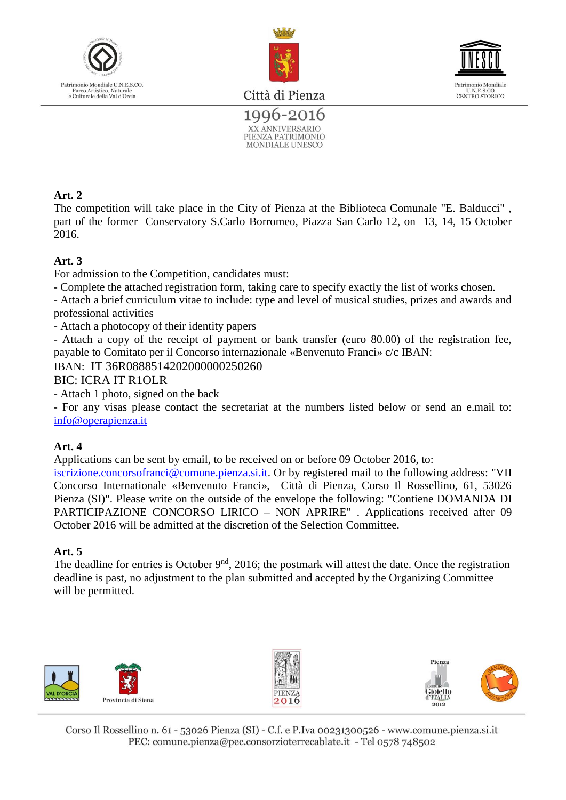





1996-2016 XX ANNIVERSARIO PIENZA PATRIMONIO **MONDIALE UNESCO** 

#### **Art. 2**

The competition will take place in the City of Pienza at the Biblioteca Comunale "E. Balducci" , part of the former Conservatory S.Carlo Borromeo, Piazza San Carlo 12, on 13, 14, 15 October 2016.

#### **Art. 3**

For admission to the Competition, candidates must:

- Complete the attached registration form, taking care to specify exactly the list of works chosen.

- Attach a brief curriculum vitae to include: type and level of musical studies, prizes and awards and professional activities

- Attach a photocopy of their identity papers

- Attach a copy of the receipt of payment or bank transfer (euro 80.00) of the registration fee, payable to Comitato per il Concorso internazionale «Benvenuto Franci» c/c IBAN:

IBAN:IT 36R0888514202000000250260

#### BIC: ICRA IT R1OLR

- Attach 1 photo, signed on the back

- For any visas please contact the secretariat at the numbers listed below or send an e.mail to: [info@operapienza.it](mailto:info@operapienza.it)

#### **Art. 4**

Applications can be sent by email, to be received on or before 09 October 2016, to:

iscrizione.concorsofranci@comune.pienza.si.it. Or by registered mail to the following address: "VII Concorso Internationale «Benvenuto Franci», Città di Pienza, Corso Il Rossellino, 61, 53026 Pienza (SI)". Please write on the outside of the envelope the following: "Contiene DOMANDA DI PARTICIPAZIONE CONCORSO LIRICO – NON APRIRE" . Applications received after 09 October 2016 will be admitted at the discretion of the Selection Committee.

#### **Art. 5**

The deadline for entries is October  $9<sup>nd</sup>$ , 2016; the postmark will attest the date. Once the registration deadline is past, no adjustment to the plan submitted and accepted by the Organizing Committee will be permitted.





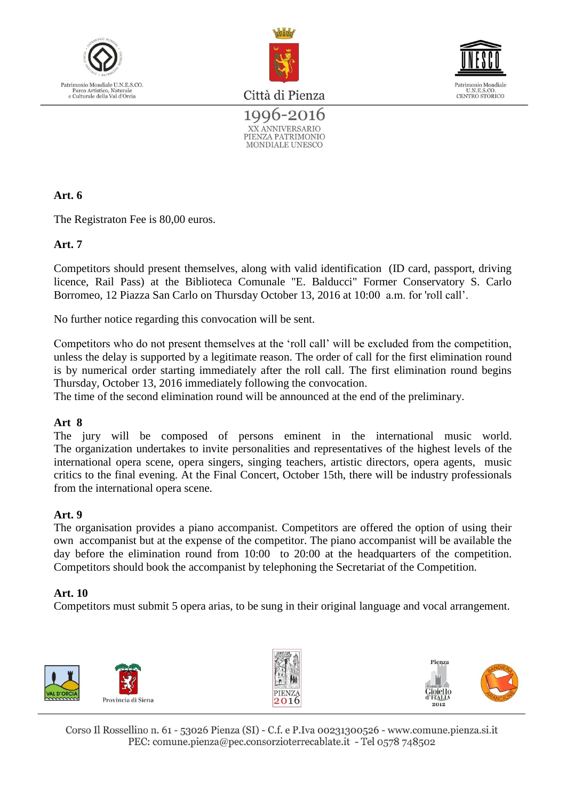





1996-2016 XX ANNIVERSARIO PIENZA PATRIMONIO **MONDIALE UNESCO** 

#### **Art. 6**

The Registraton Fee is 80,00 euros.

#### **Art. 7**

Competitors should present themselves, along with valid identification (ID card, passport, driving licence, Rail Pass) at the Biblioteca Comunale "E. Balducci" Former Conservatory S. Carlo Borromeo, 12 Piazza San Carlo on Thursday October 13, 2016 at 10:00 a.m. for 'roll call'.

No further notice regarding this convocation will be sent.

Competitors who do not present themselves at the 'roll call' will be excluded from the competition, unless the delay is supported by a legitimate reason. The order of call for the first elimination round is by numerical order starting immediately after the roll call. The first elimination round begins Thursday, October 13, 2016 immediately following the convocation.

The time of the second elimination round will be announced at the end of the preliminary.

#### **Art 8**

The jury will be composed of persons eminent in the international music world. The organization undertakes to invite personalities and representatives of the highest levels of the international opera scene, opera singers, singing teachers, artistic directors, opera agents, music critics to the final evening. At the Final Concert, October 15th, there will be industry professionals from the international opera scene.

#### **Art. 9**

The organisation provides a piano accompanist. Competitors are offered the option of using their own accompanist but at the expense of the competitor. The piano accompanist will be available the day before the elimination round from 10:00 to 20:00 at the headquarters of the competition. Competitors should book the accompanist by telephoning the Secretariat of the Competition.

#### **Art. 10**

Competitors must submit 5 opera arias, to be sung in their original language and vocal arrangement.

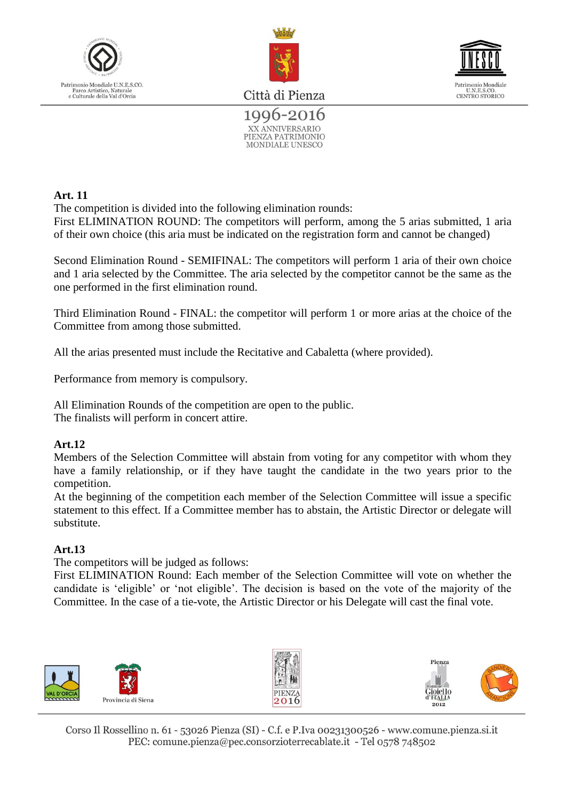





1996-2016 XX ANNIVERSARIO PIENZA PATRIMONIO **MONDIALE UNESCO** 

#### **Art. 11**

The competition is divided into the following elimination rounds:

First ELIMINATION ROUND: The competitors will perform, among the 5 arias submitted, 1 aria of their own choice (this aria must be indicated on the registration form and cannot be changed)

Second Elimination Round - SEMIFINAL: The competitors will perform 1 aria of their own choice and 1 aria selected by the Committee. The aria selected by the competitor cannot be the same as the one performed in the first elimination round.

Third Elimination Round - FINAL: the competitor will perform 1 or more arias at the choice of the Committee from among those submitted.

All the arias presented must include the Recitative and Cabaletta (where provided).

Performance from memory is compulsory.

All Elimination Rounds of the competition are open to the public. The finalists will perform in concert attire.

#### **Art.12**

Members of the Selection Committee will abstain from voting for any competitor with whom they have a family relationship, or if they have taught the candidate in the two years prior to the competition.

At the beginning of the competition each member of the Selection Committee will issue a specific statement to this effect. If a Committee member has to abstain, the Artistic Director or delegate will substitute.

#### **Art.13**

The competitors will be judged as follows:

First ELIMINATION Round: Each member of the Selection Committee will vote on whether the candidate is 'eligible' or 'not eligible'. The decision is based on the vote of the majority of the Committee. In the case of a tie-vote, the Artistic Director or his Delegate will cast the final vote.

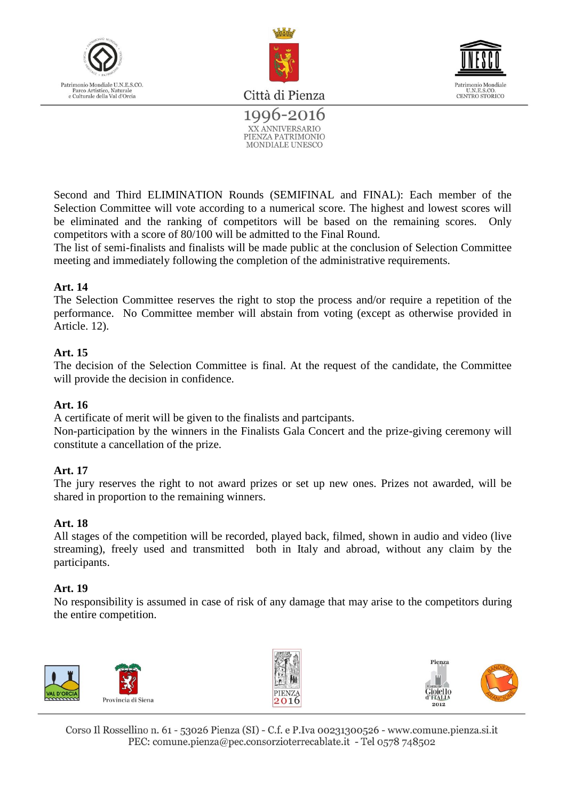





1996-2016 XX ANNIVERSARIO PIENZA PATRIMONIO **MONDIALE UNESCO** 

Second and Third ELIMINATION Rounds (SEMIFINAL and FINAL): Each member of the Selection Committee will vote according to a numerical score. The highest and lowest scores will be eliminated and the ranking of competitors will be based on the remaining scores. Only competitors with a score of 80/100 will be admitted to the Final Round.

The list of semi-finalists and finalists will be made public at the conclusion of Selection Committee meeting and immediately following the completion of the administrative requirements.

#### **Art. 14**

The Selection Committee reserves the right to stop the process and/or require a repetition of the performance. No Committee member will abstain from voting (except as otherwise provided in Article. 12).

#### **Art. 15**

The decision of the Selection Committee is final. At the request of the candidate, the Committee will provide the decision in confidence.

#### **Art. 16**

A certificate of merit will be given to the finalists and partcipants.

Non-participation by the winners in the Finalists Gala Concert and the prize-giving ceremony will constitute a cancellation of the prize.

#### **Art. 17**

The jury reserves the right to not award prizes or set up new ones. Prizes not awarded, will be shared in proportion to the remaining winners.

#### **Art. 18**

All stages of the competition will be recorded, played back, filmed, shown in audio and video (live streaming), freely used and transmitted both in Italy and abroad, without any claim by the participants.

#### **Art. 19**

No responsibility is assumed in case of risk of any damage that may arise to the competitors during the entire competition.

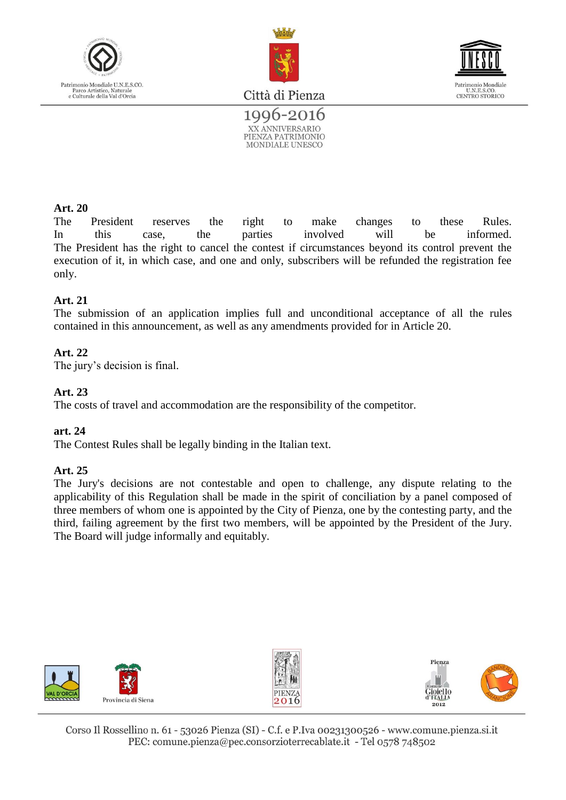



Patrimonio Mondiale<br>U.N.E.S.CO.<br>CENTRO STORICO

Città di Pienza



#### **Art. 20**

The President reserves the right to make changes to these Rules. In this case, the parties involved will be informed. The President has the right to cancel the contest if circumstances beyond its control prevent the execution of it, in which case, and one and only, subscribers will be refunded the registration fee only.

#### **Art. 21**

The submission of an application implies full and unconditional acceptance of all the rules contained in this announcement, as well as any amendments provided for in Article 20.

#### **Art. 22**

The jury's decision is final.

#### **Art. 23**

The costs of travel and accommodation are the responsibility of the competitor.

#### **art. 24**

The Contest Rules shall be legally binding in the Italian text.

#### **Art. 25**

The Jury's decisions are not contestable and open to challenge, any dispute relating to the applicability of this Regulation shall be made in the spirit of conciliation by a panel composed of three members of whom one is appointed by the City of Pienza, one by the contesting party, and the third, failing agreement by the first two members, will be appointed by the President of the Jury. The Board will judge informally and equitably.





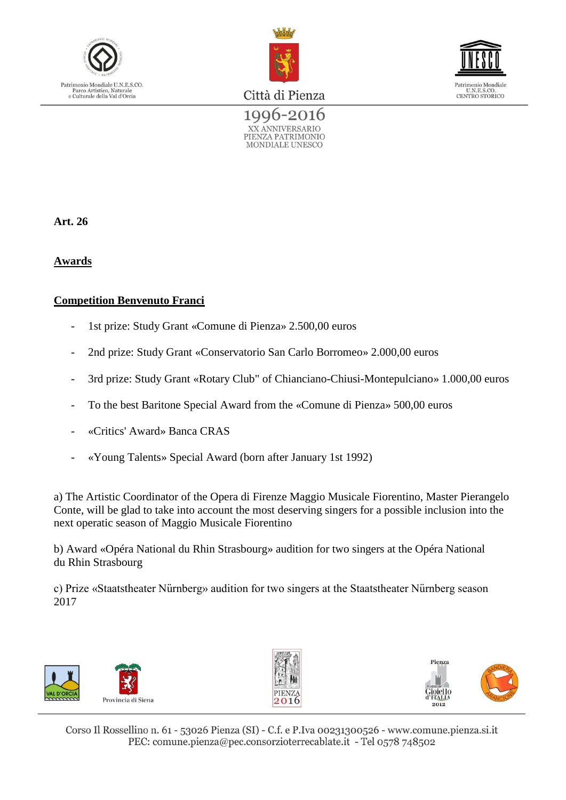





1996-2016 XX ANNIVERSARIO PIENZA PATRIMONIO MONDIALE UNESCO

**Art. 26** 

**Awards**

#### **Competition Benvenuto Franci**

- 1st prize: Study Grant «Comune di Pienza» 2.500,00 euros
- 2nd prize: Study Grant «Conservatorio San Carlo Borromeo» 2.000,00 euros
- 3rd prize: Study Grant «Rotary Club" of Chianciano-Chiusi-Montepulciano» 1.000,00 euros
- To the best Baritone Special Award from the «Comune di Pienza» 500,00 euros
- «Critics' Award» Banca CRAS
- «Young Talents» Special Award (born after January 1st 1992)

a) The Artistic Coordinator of the Opera di Firenze Maggio Musicale Fiorentino, Master Pierangelo Conte, will be glad to take into account the most deserving singers for a possible inclusion into the next operatic season of Maggio Musicale Fiorentino

b) Award «Opéra National du Rhin Strasbourg» audition for two singers at the Opéra National du Rhin Strasbourg

c) Prize «Staatstheater Nürnberg» audition for two singers at the Staatstheater Nürnberg season 2017





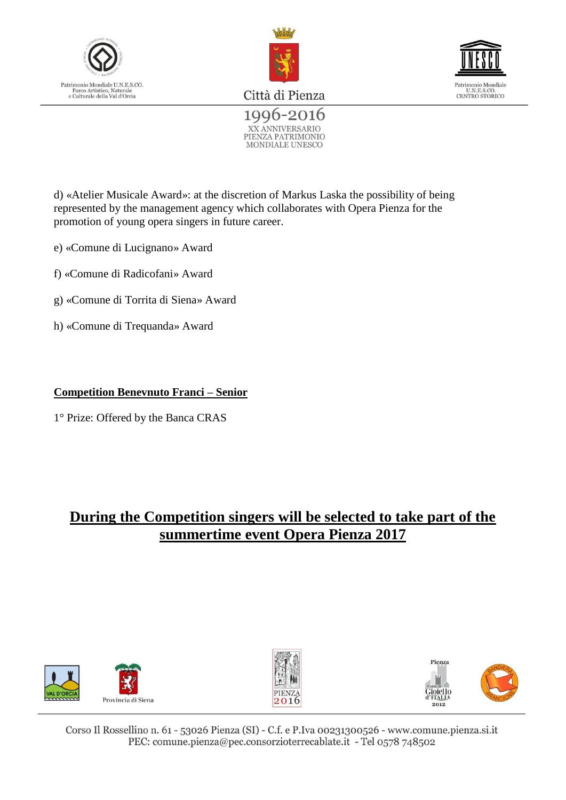





1996-2016 XX ANNIVERSARIO PIENZA PATRIMONIO MONDIALE UNESCO

d) «Atelier Musicale Award»: at the discretion of Markus Laska the possibility of being represented by the management agency which collaborates with Opera Pienza for the promotion of young opera singers in future career.

- e) «Comune di Lucignano» Award
- f) «Comune di Radicofani» Award
- g) «Comune di Torrita di Siena» Award
- h) «Comune di Trequanda» Award

#### **Competition Benevnuto Franci – Senior**

1° Prize: Offered by the Banca CRAS

### **During the Competition singers will be selected to take part of the summertime event Opera Pienza 2017**





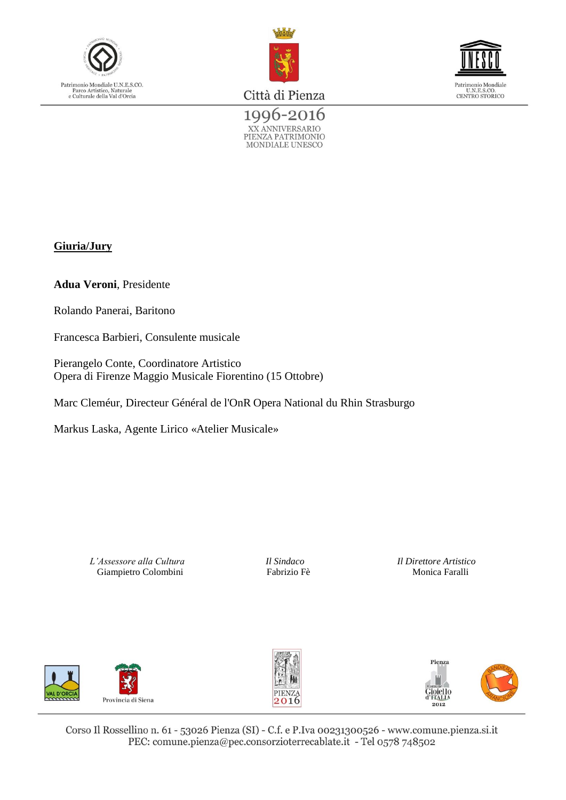





1996-2016 XX ANNIVERSARIO<br>PIENZA PATRIMONIO<br>MONDIALE UNESCO

#### **Giuria/Jury**

**Adua Veroni**, Presidente

Rolando Panerai, Baritono

Francesca Barbieri, Consulente musicale

Pierangelo Conte, Coordinatore Artistico Opera di Firenze Maggio Musicale Fiorentino (15 Ottobre)

Marc Cleméur, Directeur Général de l'OnR Opera National du Rhin Strasburgo

Markus Laska, Agente Lirico «Atelier Musicale»

*L'Assessore alla Cultura Il Sindaco Il Direttore Artistico* Giampietro Colombini Fabrizio Fè Monica Faralli





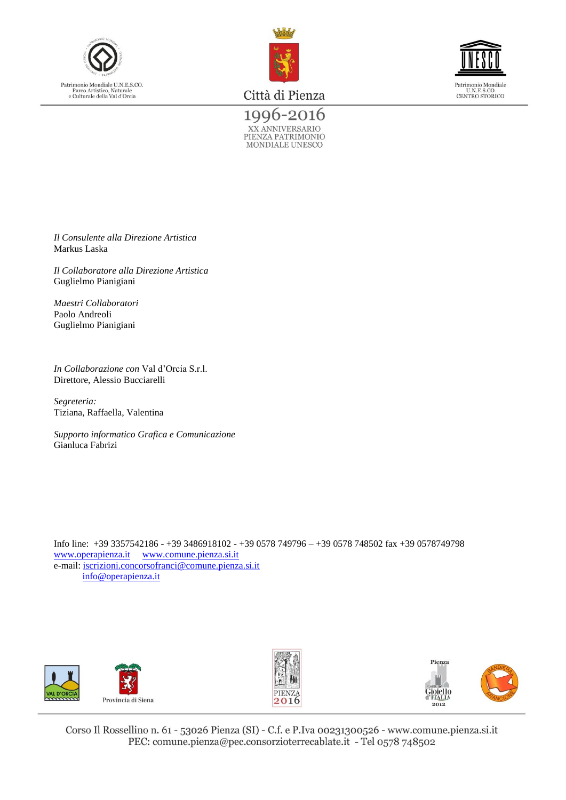





1996-2016 XX ANNIVERSARIO<br>PIENZA PATRIMONIO<br>MONDIALE UNESCO

*Il Consulente alla Direzione Artistica* Markus Laska

*Il Collaboratore alla Direzione Artistica* Guglielmo Pianigiani

*Maestri Collaboratori*  Paolo Andreoli Guglielmo Pianigiani

*In Collaborazione con* Val d'Orcia S.r.l. Direttore, Alessio Bucciarelli

*Segreteria:* Tiziana, Raffaella, Valentina

*Supporto informatico Grafica e Comunicazione* Gianluca Fabrizi

Info line: +39 3357542186 - +39 3486918102 - +39 0578 749796 – +39 0578 748502 fax +39 0578749798 [www.operapienza.it](http://www.operapienza.it/) [www.comune.pienza.si.it](http://www.comune.pienza.si.it/) e-mail: [iscrizioni.concorsofranci@comune.pienza.si.it](mailto:iscrizioni.concorsofranci@comune.pienza.si.it) [info@operapienza.it](mailto:info@operapienza.it)







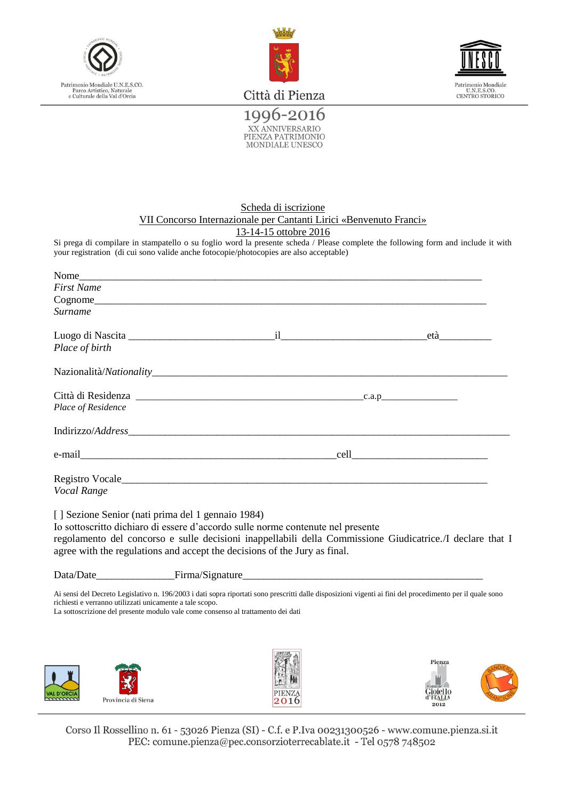



Patrimonio Mondiale<br>U.N.E.S.CO.<br>CENTRO STORICO

Città di Pienza

1996-2016 XX ANNIVERSARIO<br>PIENZA PATRIMONIO MONDIALE UNESCO

#### Scheda di iscrizione VII Concorso Internazionale per Cantanti Lirici «Benvenuto Franci» 13-14-15 ottobre 2016

Si prega di compilare in stampatello o su foglio word la presente scheda / Please complete the following form and include it with your registration (di cui sono valide anche fotocopie/photocopies are also acceptable)

| Nome                                                                                                           |  |
|----------------------------------------------------------------------------------------------------------------|--|
| First Name                                                                                                     |  |
|                                                                                                                |  |
| Surname                                                                                                        |  |
|                                                                                                                |  |
| Luogo di Nascita e alle che all'alle che di controlle della contra della contra della contra della contra dell |  |
| Place of birth                                                                                                 |  |
|                                                                                                                |  |
|                                                                                                                |  |
| Place of Residence                                                                                             |  |
|                                                                                                                |  |
|                                                                                                                |  |
|                                                                                                                |  |
|                                                                                                                |  |
| Registro Vocale                                                                                                |  |
| Vocal Range                                                                                                    |  |
| [] Sezione Senior (nati prima del 1 gennaio 1984)                                                              |  |
| Io sottoscritto dichiaro di essere d'accordo sulle norme contenute nel presente                                |  |
| regolamento del concorso e sulle decisioni inannellabili della Commissione Giudicatrice I declare that         |  |

regolamento del concorso e sulle decisioni inappellabili della Commissione Giudicatrice./I declare that I agree with the regulations and accept the decisions of the Jury as final.

| Data/Date | Firma/Signature |
|-----------|-----------------|
|           |                 |

Ai sensi del Decreto Legislativo n. 196/2003 i dati sopra riportati sono prescritti dalle disposizioni vigenti ai fini del procedimento per il quale sono richiesti e verranno utilizzati unicamente a tale scopo.

La sottoscrizione del presente modulo vale come consenso al trattamento dei dati







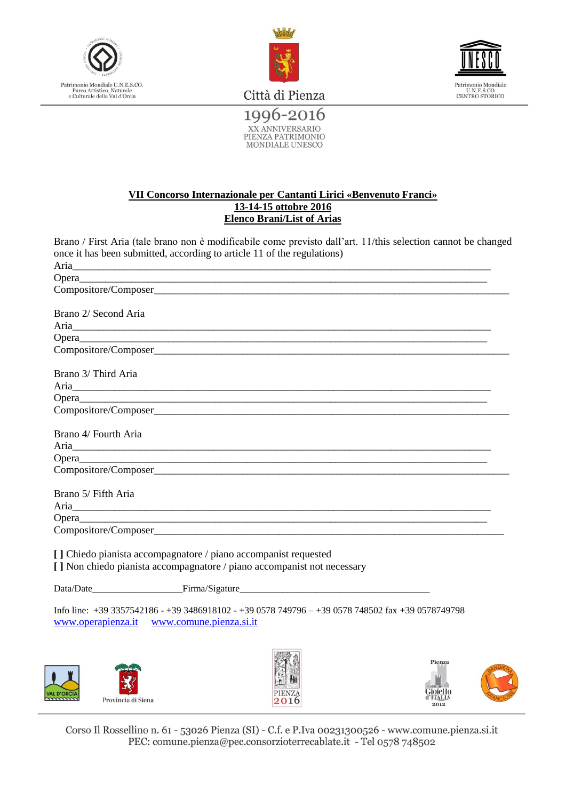



Patrimonio Mondiale<br>U.N.E.S.CO.<br>CENTRO STORICO

Città di Pienza 1996-2016

XX ANNIVERSARIO<br>PIENZA PATRIMONIO<br>MONDIALE UNESCO

#### **VII Concorso Internazionale per Cantanti Lirici «Benvenuto Franci» 13-14-15 ottobre 2016 Elenco Brani/List of Arias**

Brano / First Aria (tale brano non è modificabile come previsto dall'art. 11/this selection cannot be changed once it has been submitted, according to article 11 of the regulations)

| Brano 2/ Second Aria                                                                                                                                                                                                                 |
|--------------------------------------------------------------------------------------------------------------------------------------------------------------------------------------------------------------------------------------|
| Aria <u>Anti</u> nessa alan kuning kalendari karaturan dan masa dan masa dan masa dan masa dan masa dan masa dan masa dan masa dan masa dan masa dan masa dan masa dan masa dan masa dan masa dan masa dan masa dan masa dan masa da |
|                                                                                                                                                                                                                                      |
|                                                                                                                                                                                                                                      |
| Brano 3/ Third Aria                                                                                                                                                                                                                  |
|                                                                                                                                                                                                                                      |
|                                                                                                                                                                                                                                      |
|                                                                                                                                                                                                                                      |
| Brano 4/ Fourth Aria                                                                                                                                                                                                                 |
| Aria <u>Aria anno 2008</u>                                                                                                                                                                                                           |
|                                                                                                                                                                                                                                      |
|                                                                                                                                                                                                                                      |
|                                                                                                                                                                                                                                      |
| Brano 5/ Fifth Aria                                                                                                                                                                                                                  |
|                                                                                                                                                                                                                                      |
|                                                                                                                                                                                                                                      |
|                                                                                                                                                                                                                                      |
| [] Chiedo pianista accompagnatore / piano accompanist requested<br>[] Non chiedo pianista accompagnatore / piano accompanist not necessary                                                                                           |
|                                                                                                                                                                                                                                      |
|                                                                                                                                                                                                                                      |
| Info line: $+39\,3357542186 - +39\,3486918102 - +39\,0578\,749796 - +39\,0578\,748502$ fax $+39\,0578749798$<br>www.operapienza.it www.comune.pienza.si.it                                                                           |
|                                                                                                                                                                                                                                      |